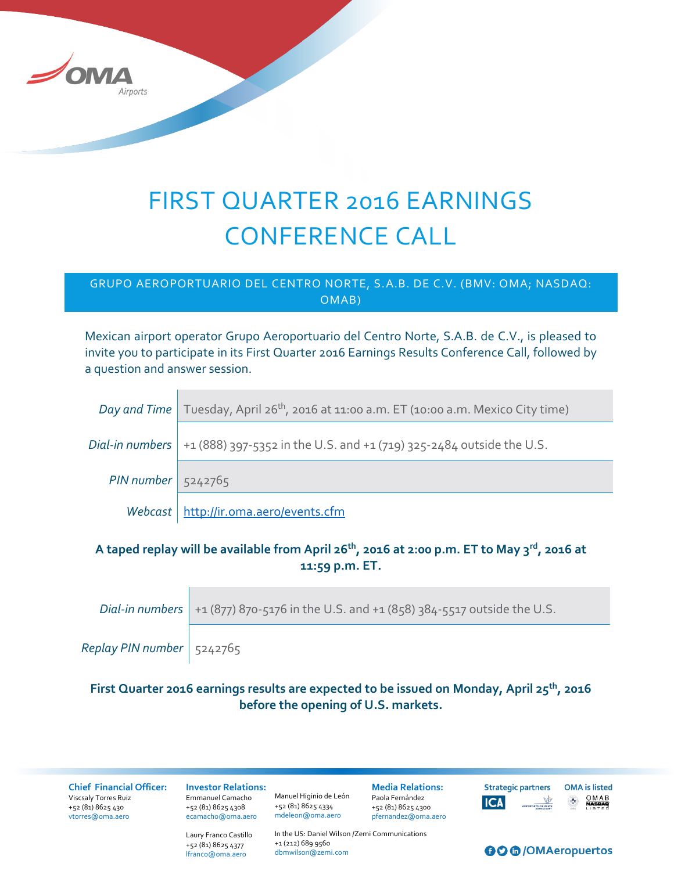

# FIRST QUARTER 2016 EARNINGS CONFERENCE CALL

#### GRUPO AEROPORTUARIO DEL CENTRO NORTE, S.A.B. DE C.V. (BMV: OMA; NASDAQ: OMAB)

Mexican airport operator Grupo Aeroportuario del Centro Norte, S.A.B. de C.V., is pleased to invite you to participate in its First Quarter 2016 Earnings Results Conference Call, followed by a question and answer session.

|                      | Day and Time   Tuesday, April 26 <sup>th</sup> , 2016 at 11:00 a.m. ET (10:00 a.m. Mexico City time) |
|----------------------|------------------------------------------------------------------------------------------------------|
|                      | <i>Dial-in numbers</i> $  +1 (888) 397 -5352$ in the U.S. and $+1 (719) 325 -2484$ outside the U.S.  |
| $PIN number$ 5242765 |                                                                                                      |
|                      | Webcast   http://ir.oma.aero/events.cfm                                                              |

### **A taped replay will be available from April 26th, 2016 at 2:00 p.m. ET to May 3rd, 2016 at 11:59 p.m. ET.**

|                             | <i>Dial-in numbers</i> $+1(877) 870 -5176$ in the U.S. and $+1(858) 384 -5517$ outside the U.S. |
|-----------------------------|-------------------------------------------------------------------------------------------------|
| Replay PIN number   5242765 |                                                                                                 |

## **First Quarter 2016 earnings results are expected to be issued on Monday, April 25th, 2016 before the opening of U.S. markets.**

**Chief Financial Officer:** Viscsaly Torres Ruiz +52 (81) 8625 430 [vtorres@oma.aero](mailto:jlguerrero@oma.aero)

**Investor Relations:**  Emmanuel Camacho +52 (81) 8625 4308 [ecamacho@oma.aero](mailto:ecamacho@oma.aero)

Manuel Higinio de León +52 (81) 8625 4334 [mdeleon@oma.aero](mailto:mdeleon@oma.aero)

**Media Relations:** Paola Fernández +52 (81) 8625 4300 [pfernandez@oma.aero](mailto:pfernandez@oma.aero)

**Strategic partners OMA** is listed  $OMAB  
**NASDAD**$ </u> **ICA** 

Laury Franco Castillo +52 (81) 8625 4377 [lfranco@oma.aero](mailto:lfranco@oma.aero)

In the US: Daniel Wilson /Zemi Communications +1 (212) 689 9560 [dbmwilson@zemi.com](mailto:dbmwilson@zemi.com)

#### **OO** @/OMAeropuertos